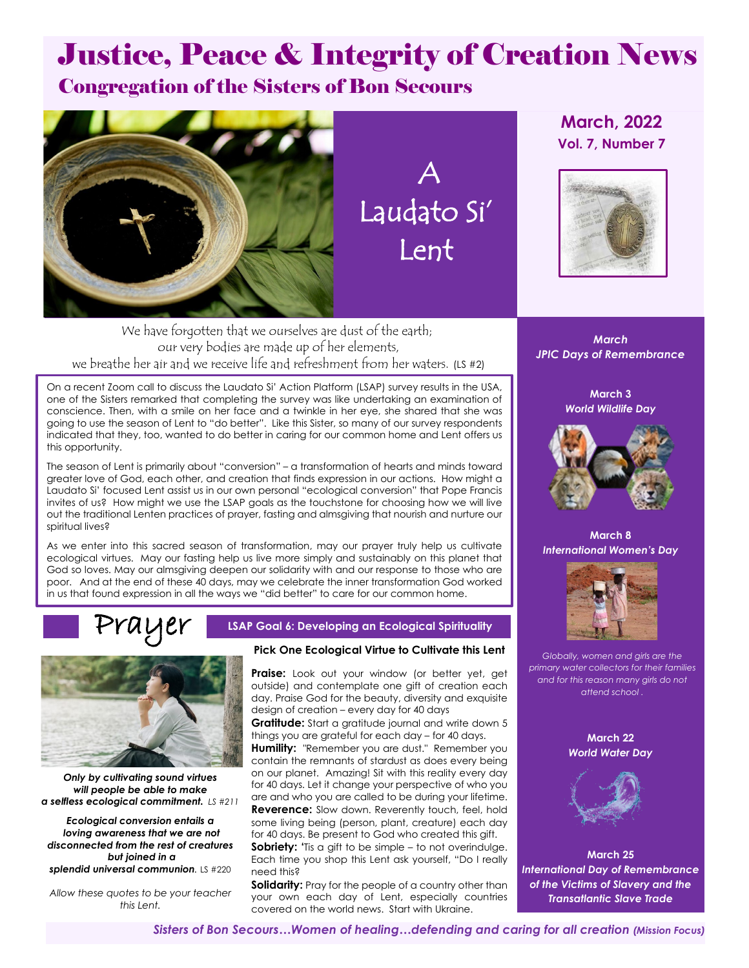# Justice, Peace & Integrity of Creation News

### Congregation of the Sisters of Bon Secours



 A Laudato Si' Lent

### **March, 2022 Vol. 7, Number 7**



We have forgotten that we ourselves are dust of the earth; our very bodies are made up of her elements, we breathe her air and we receive life and refreshment from her waters. (LS #2)

On a recent Zoom call to discuss the Laudato Si' Action Platform (LSAP) survey results in the USA, one of the Sisters remarked that completing the survey was like undertaking an examination of conscience. Then, with a smile on her face and a twinkle in her eye, she shared that she was going to use the season of Lent to "do better". Like this Sister, so many of our survey respondents indicated that they, too, wanted to do better in caring for our common home and Lent offers us this opportunity.

The season of Lent is primarily about "conversion" – a transformation of hearts and minds toward greater love of God, each other, and creation that finds expression in our actions. How might a Laudato Si' focused Lent assist us in our own personal "ecological conversion" that Pope Francis invites of us? How might we use the LSAP goals as the touchstone for choosing how we will live out the traditional Lenten practices of prayer, fasting and almsgiving that nourish and nurture our spiritual lives?

As we enter into this sacred season of transformation, may our prayer truly help us cultivate ecological virtues. May our fasting help us live more simply and sustainably on this planet that God so loves. May our almsgiving deepen our solidarity with and our response to those who are poor. And at the end of these 40 days, may we celebrate the inner transformation God worked in us that found expression in all the ways we "did better" to care for our common home.

## Prayer



*Only by cultivating sound virtues will people be able to make a selfless ecological commitment. LS #211*

*Ecological conversion entails a loving awareness that we are not disconnected from the rest of creatures but joined in a splendid universal communion.* LS #220

*Allow these quotes to be your teacher this Lent.*

### **LSAP Goal 6: Developing an Ecological Spirituality**

### **Pick One Ecological Virtue to Cultivate this Lent**

**Praise:** Look out your window (or better yet, get outside) and contemplate one gift of creation each day. Praise God for the beauty, diversity and exquisite design of creation – every day for 40 days

**Gratitude:** Start a gratitude journal and write down 5 things you are grateful for each day – for 40 days.

**Humility:** "Remember you are dust." Remember you contain the remnants of stardust as does every being on our planet. Amazing! Sit with this reality every day for 40 days. Let it change your perspective of who you are and who you are called to be during your lifetime.

**Reverence:** Slow down. Reverently touch, feel, hold some living being (person, plant, creature) each day for 40 days. Be present to God who created this gift.

**Sobriety: '**Tis a gift to be simple – to not overindulge. Each time you shop this Lent ask yourself, "Do I really need this?

**Solidarity:** Pray for the people of a country other than your own each day of Lent, especially countries covered on the world news. Start with Ukraine.

*March JPIC Days of Remembrance*

> **March 3** *World Wildlife Day*



**March 8** *International Women's Day*



*Globally, women and girls are the primary water collectors for their families and for this reason many girls do not attend school .*

> **March 22** *World Water Day*



**March 25** *International Day of Remembrance of the Victims of Slavery and the Transatlantic Slave Trade*

*Sisters of Bon Secours…Women of healing…defending and caring for all creation (Mission Focus)*